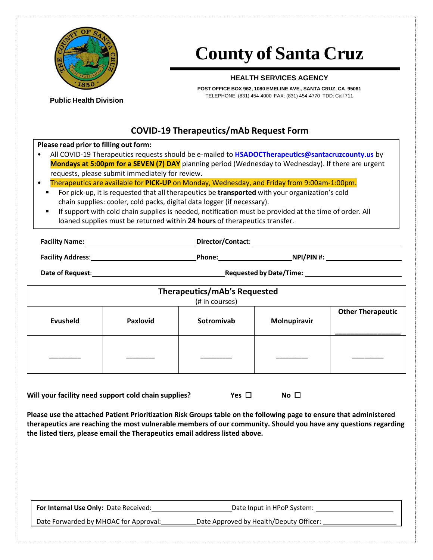

**Public Health Division**

# **County of Santa Cruz**

## **HEALTH SERVICES AGENCY**

**POST OFFICE BOX 962, 1080 EMELINE AVE., SANTA CRUZ, CA 95061** TELEPHONE: (831) 454-4000 FAX: (831) 454-4770 TDD: Call 711

# **COVID-19 Therapeutics/mAb Request Form**

#### **Please read prior to filling out form:**

| All COVID-19 Therapeutics requests should be e-mailed to HSADOCTherapeutics@santacruzcounty.us by          |
|------------------------------------------------------------------------------------------------------------|
| <b>Mondays at 5:00pm for a SEVEN (7) DAY</b> planning period (Wednesday to Wednesday). If there are urgent |
| requests, please submit immediately for review.                                                            |

• Therapeutics are available for **PICK-UP** on Monday, Wednesday, and Friday from 9:00am-1:00pm.

- For pick-up, it is requested that all therapeutics be **transported** with your organization's cold chain supplies: cooler, cold packs, digital data logger (if necessary).
- If support with cold chain supplies is needed, notification must be provided at the time of order. All loaned supplies must be returned within **24 hours** of therapeutics transfer.

**Facility Name: Director/Contact**:

**Facility Address**: **Phone: NPI/PIN #:**

**Date** of Request: <u>**COVID-2020 Requested** by Date/Time: **Requested** by Date/Time:</u>

| <b>Therapeutics/mAb's Requested</b> |                 |            |              |                          |  |  |
|-------------------------------------|-----------------|------------|--------------|--------------------------|--|--|
|                                     | (# in courses)  |            |              |                          |  |  |
| <b>Evusheld</b>                     | <b>Paxlovid</b> | Sotromivab | Molnupiravir | <b>Other Therapeutic</b> |  |  |
|                                     |                 |            |              |                          |  |  |

**Will your facility need support cold chain supplies? Yes** ☐ **No** ☐

**Please use the attached Patient Prioritization Risk Groups table on the following page to ensure that administered therapeutics are reaching the most vulnerable members of our community. Should you have any questions regarding the listed tiers, please email the Therapeutics email address listed above.**

| For Internal Use Only: Date Received: | Date Input in HPoP System:              |
|---------------------------------------|-----------------------------------------|
| Date Forwarded by MHOAC for Approval: | Date Approved by Health/Deputy Officer: |